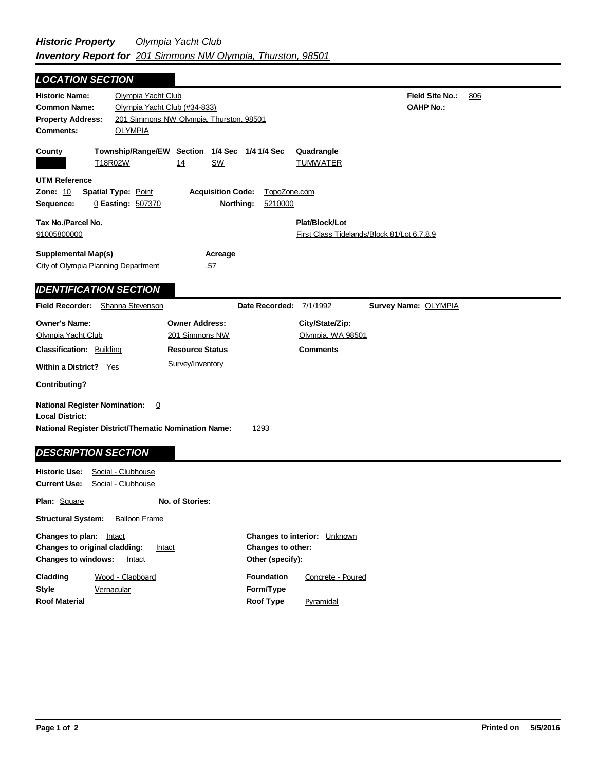## Field Site No.: 806 **OAHP No.: Historic Name:** Olympia Yacht Club **Common Name:** Olympia Yacht Club (#34-833) **County Plat/Block/Lot** First Class Tidelands/Block 81/Lot 6,7,8,9 **Acreage** .57 **Supplemental Map(s)** City of Olympia Planning Department **Tax No./Parcel No.** 91005800000 **Property Address:** 201 Simmons NW Olympia, Thurston, 98501 *LOCATION SECTION* **Comments:** OLYMPIA **Quadrangle UTM Reference Township/Range/EW Section 1/4 Sec 1/4 1/4 Sec Owner Address:** 201 Simmons NW **Field Recorder:** Shanna Stevenson **Owner's Name:** Olympia Yacht Club **City/State/Zip:** Olympia, WA 98501 **National Register District/Thematic Nomination Name:** 1293 **Local District: Date Recorded:** 7/1/1992 **Classification:** Building Within a District? Yes **Contributing? Comments National Register Nomination:** 0 **Plan:** Square **Historic Use:** Social - Clubhouse **Current Use:** Social - Clubhouse **Structural System:** Balloon Frame **No. of Stories: Resource Status Survey Name:** OLYMPIA *IDENTIFICATION SECTION DESCRIPTION SECTION* T18R02W 14 SW TUMWATER **Zone:** 10 **Spatial Type:** Point **Acquisition Code:** TopoZone.com **Sequence:** 0 **Easting:** 507370 **Northing:** 5210000 Survey/Inventory

| Changes to plan:<br>Intact<br><b>Changes to original cladding:</b><br>Intact<br><b>Changes to windows:</b><br>Intact | <b>Changes to interior:</b> Unknown<br>Changes to other:<br>Other (specify): |
|----------------------------------------------------------------------------------------------------------------------|------------------------------------------------------------------------------|
| Cladding<br>Wood - Clapboard<br>Style<br>Vernacular                                                                  | <b>Foundation</b><br>Concrete - Poured<br>Form/Type                          |
| <b>Roof Material</b>                                                                                                 | Roof Type<br>Pyramidal                                                       |